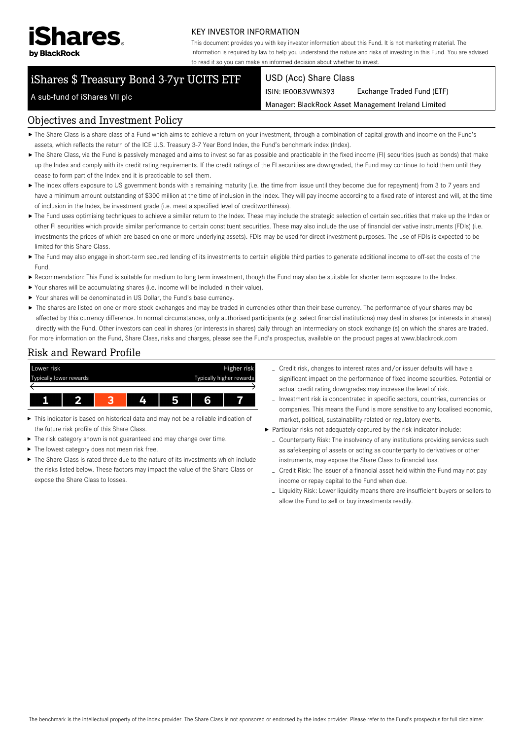

#### KEY INVESTOR INFORMATION

This document provides you with key investor information about this Fund. It is not marketing material. The information is required by law to help you understand the nature and risks of investing in this Fund. You are advised to read it so you can make an informed decision about whether to invest.

# iShares \$ Treasury Bond 3-7yr UCITS ETF

#### USD (Acc) Share Class

ISIN: IE00B3VWN393 Exchange Traded Fund (ETF)

Manager: BlackRock Asset Management Ireland Limited

## A sub-fund of iShares VII plc

#### Objectives and Investment Policy

- The Share Class is a share class of a Fund which aims to achieve a return on your investment, through a combination of capital growth and income on the Fund's assets, which reflects the return of the ICE U.S. Treasury 3-7 Year Bond Index, the Fund's benchmark index (Index).
- ▶ The Share Class, via the Fund is passively managed and aims to invest so far as possible and practicable in the fixed income (FI) securities (such as bonds) that make up the Index and comply with its credit rating requirements. If the credit ratings of the FI securities are downgraded, the Fund may continue to hold them until they cease to form part of the Index and it is practicable to sell them.
- ▶ The Index offers exposure to US government bonds with a remaining maturity (i.e. the time from issue until they become due for repayment) from 3 to 7 years and have a minimum amount outstanding of \$300 million at the time of inclusion in the Index. They will pay income according to a fixed rate of interest and will, at the time of inclusion in the Index, be investment grade (i.e. meet a specified level of creditworthiness).
- ▶ The Fund uses optimising techniques to achieve a similar return to the Index. These may include the strategic selection of certain securities that make up the Index or other FI securities which provide similar performance to certain constituent securities. These may also include the use of financial derivative instruments (FDIs) (i.e. investments the prices of which are based on one or more underlying assets). FDIs may be used for direct investment purposes. The use of FDIs is expected to be limited for this Share Class.
- ▶ The Fund may also engage in short-term secured lending of its investments to certain eligible third parties to generate additional income to off-set the costs of the Fund.
- Recommendation: This Fund is suitable for medium to long term investment, though the Fund may also be suitable for shorter term exposure to the Index.
- Your shares will be accumulating shares (i.e. income will be included in their value).
- Your shares will be denominated in US Dollar, the Fund's base currency.
- ▶ The shares are listed on one or more stock exchanges and may be traded in currencies other than their base currency. The performance of your shares may be affected by this currency difference. In normal circumstances, only authorised participants (e.g. select financial institutions) may deal in shares (or interests in shares) directly with the Fund. Other investors can deal in shares (or interests in shares) daily through an intermediary on stock exchange (s) on which the shares are traded. For more information on the Fund, Share Class, risks and charges, please see the Fund's prospectus, available on the product pages at www.blackrock.com

#### Risk and Reward Profile



- This indicator is based on historical data and may not be a reliable indication of ь the future risk profile of this Share Class.
- The risk category shown is not guaranteed and may change over time.
- The lowest category does not mean risk free.
- ▶ The Share Class is rated three due to the nature of its investments which include the risks listed below. These factors may impact the value of the Share Class or expose the Share Class to losses.
- Credit risk, changes to interest rates and/or issuer defaults will have a significant impact on the performance of fixed income securities. Potential or actual credit rating downgrades may increase the level of risk.
- Investment risk is concentrated in specific sectors, countries, currencies or companies. This means the Fund is more sensitive to any localised economic, market, political, sustainability-related or regulatory events.
- Particular risks not adequately captured by the risk indicator include:
	- Counterparty Risk: The insolvency of any institutions providing services such as safekeeping of assets or acting as counterparty to derivatives or other instruments, may expose the Share Class to financial loss.
	- Credit Risk: The issuer of a financial asset held within the Fund may not pay income or repay capital to the Fund when due.
	- Liquidity Risk: Lower liquidity means there are insufficient buyers or sellers to allow the Fund to sell or buy investments readily.